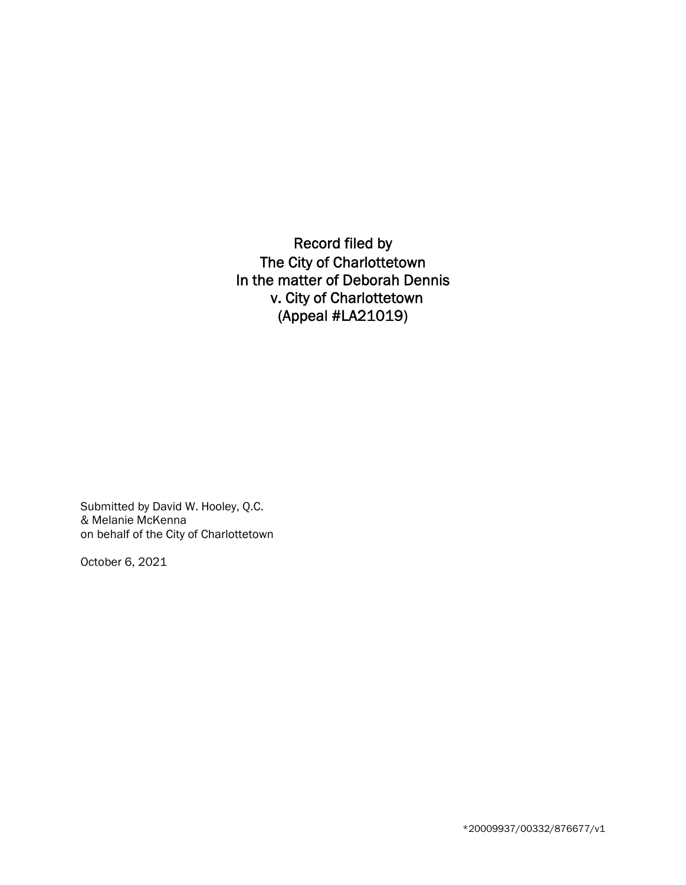Record filed by The City of Charlottetown In the matter of Deborah Dennis v. City of Charlottetown (Appeal #LA21019)

Submitted by David W. Hooley, Q.C. & Melanie McKenna on behalf of the City of Charlottetown

October 6, 2021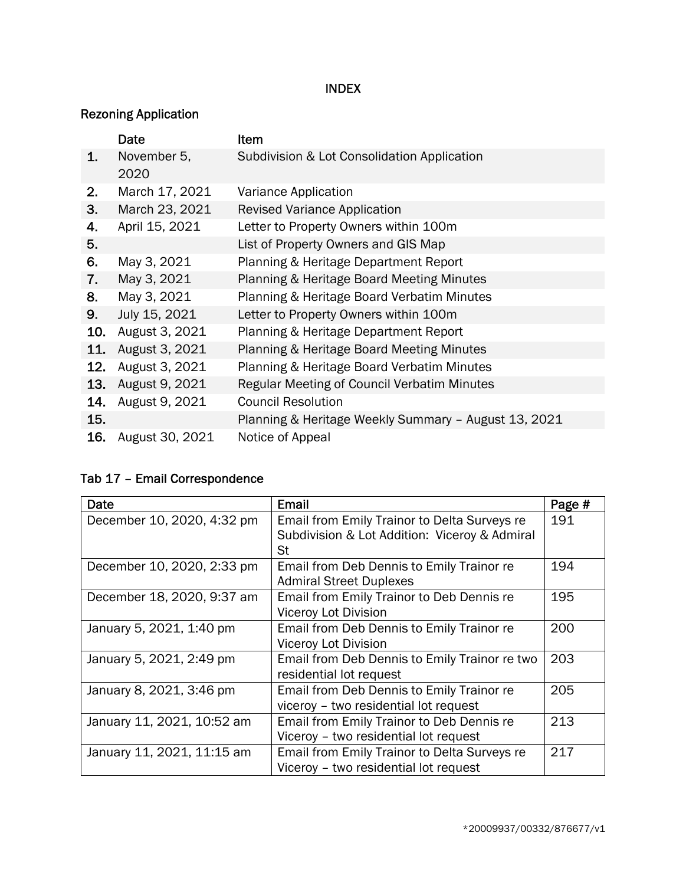## INDEX

## Rezoning Application

|     | Date                | Item                                                 |
|-----|---------------------|------------------------------------------------------|
| 1.  | November 5,<br>2020 | Subdivision & Lot Consolidation Application          |
| 2.  | March 17, 2021      | Variance Application                                 |
| 3.  | March 23, 2021      | <b>Revised Variance Application</b>                  |
| 4.  | April 15, 2021      | Letter to Property Owners within 100m                |
| 5.  |                     | List of Property Owners and GIS Map                  |
| 6.  | May 3, 2021         | Planning & Heritage Department Report                |
| 7.  | May 3, 2021         | Planning & Heritage Board Meeting Minutes            |
| 8.  | May 3, 2021         | Planning & Heritage Board Verbatim Minutes           |
| 9.  | July 15, 2021       | Letter to Property Owners within 100m                |
| 10. | August 3, 2021      | Planning & Heritage Department Report                |
| 11. | August 3, 2021      | Planning & Heritage Board Meeting Minutes            |
| 12. | August 3, 2021      | Planning & Heritage Board Verbatim Minutes           |
| 13. | August 9, 2021      | Regular Meeting of Council Verbatim Minutes          |
| 14. | August 9, 2021      | <b>Council Resolution</b>                            |
| 15. |                     | Planning & Heritage Weekly Summary - August 13, 2021 |
| 16. | August 30, 2021     | Notice of Appeal                                     |

## Tab 17 – Email Correspondence

| Date                       | Email                                         | Page # |
|----------------------------|-----------------------------------------------|--------|
| December 10, 2020, 4:32 pm | Email from Emily Trainor to Delta Surveys re  | 191    |
|                            | Subdivision & Lot Addition: Viceroy & Admiral |        |
|                            | St                                            |        |
| December 10, 2020, 2:33 pm | Email from Deb Dennis to Emily Trainor re     | 194    |
|                            | <b>Admiral Street Duplexes</b>                |        |
| December 18, 2020, 9:37 am | Email from Emily Trainor to Deb Dennis re     | 195    |
|                            | Viceroy Lot Division                          |        |
| January 5, 2021, 1:40 pm   | Email from Deb Dennis to Emily Trainor re     | 200    |
|                            | Viceroy Lot Division                          |        |
| January 5, 2021, 2:49 pm   | Email from Deb Dennis to Emily Trainor re two | 203    |
|                            | residential lot request                       |        |
| January 8, 2021, 3:46 pm   | Email from Deb Dennis to Emily Trainor re     | 205    |
|                            | viceroy - two residential lot request         |        |
| January 11, 2021, 10:52 am | Email from Emily Trainor to Deb Dennis re     | 213    |
|                            | Viceroy - two residential lot request         |        |
| January 11, 2021, 11:15 am | Email from Emily Trainor to Delta Surveys re  | 217    |
|                            | Viceroy - two residential lot request         |        |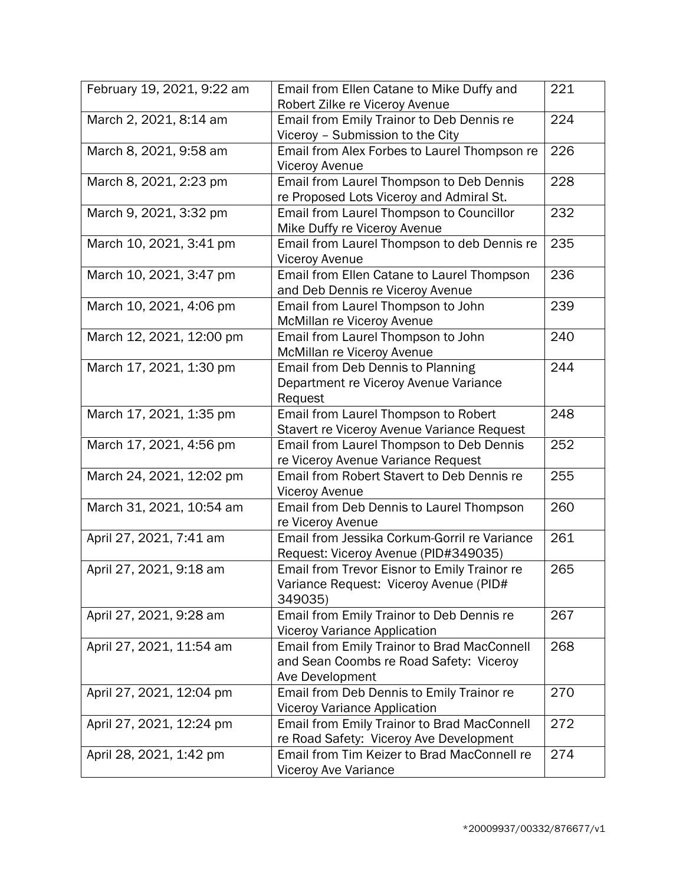| February 19, 2021, 9:22 am | Email from Ellen Catane to Mike Duffy and<br>Robert Zilke re Viceroy Avenue | 221 |
|----------------------------|-----------------------------------------------------------------------------|-----|
| March 2, 2021, 8:14 am     | Email from Emily Trainor to Deb Dennis re                                   | 224 |
|                            | Viceroy - Submission to the City                                            |     |
| March 8, 2021, 9:58 am     | Email from Alex Forbes to Laurel Thompson re                                | 226 |
|                            | <b>Viceroy Avenue</b>                                                       |     |
| March 8, 2021, 2:23 pm     | Email from Laurel Thompson to Deb Dennis                                    | 228 |
|                            | re Proposed Lots Viceroy and Admiral St.                                    |     |
| March 9, 2021, 3:32 pm     | Email from Laurel Thompson to Councillor                                    | 232 |
|                            | Mike Duffy re Viceroy Avenue                                                |     |
| March 10, 2021, 3:41 pm    | Email from Laurel Thompson to deb Dennis re                                 | 235 |
|                            | Viceroy Avenue                                                              |     |
| March 10, 2021, 3:47 pm    | Email from Ellen Catane to Laurel Thompson                                  | 236 |
|                            | and Deb Dennis re Viceroy Avenue                                            |     |
| March 10, 2021, 4:06 pm    | Email from Laurel Thompson to John                                          | 239 |
|                            | McMillan re Viceroy Avenue                                                  |     |
| March 12, 2021, 12:00 pm   | Email from Laurel Thompson to John                                          | 240 |
|                            | McMillan re Viceroy Avenue                                                  |     |
| March 17, 2021, 1:30 pm    | Email from Deb Dennis to Planning                                           | 244 |
|                            | Department re Viceroy Avenue Variance                                       |     |
|                            | Request                                                                     |     |
| March 17, 2021, 1:35 pm    | Email from Laurel Thompson to Robert                                        | 248 |
|                            | Stavert re Viceroy Avenue Variance Request                                  |     |
| March 17, 2021, 4:56 pm    | Email from Laurel Thompson to Deb Dennis                                    | 252 |
|                            | re Viceroy Avenue Variance Request                                          |     |
| March 24, 2021, 12:02 pm   | Email from Robert Stavert to Deb Dennis re                                  | 255 |
|                            | <b>Viceroy Avenue</b>                                                       |     |
| March 31, 2021, 10:54 am   | Email from Deb Dennis to Laurel Thompson                                    | 260 |
|                            | re Viceroy Avenue                                                           |     |
| April 27, 2021, 7:41 am    | Email from Jessika Corkum-Gorril re Variance                                | 261 |
|                            | Request: Viceroy Avenue (PID#349035)                                        |     |
| April 27, 2021, 9:18 am    | Email from Trevor Eisnor to Emily Trainor re                                | 265 |
|                            | Variance Request: Viceroy Avenue (PID#                                      |     |
|                            | 349035)                                                                     |     |
| April 27, 2021, 9:28 am    | Email from Emily Trainor to Deb Dennis re                                   | 267 |
|                            | <b>Viceroy Variance Application</b>                                         |     |
| April 27, 2021, 11:54 am   | <b>Email from Emily Trainor to Brad MacConnell</b>                          | 268 |
|                            | and Sean Coombs re Road Safety: Viceroy                                     |     |
|                            | Ave Development                                                             |     |
| April 27, 2021, 12:04 pm   | Email from Deb Dennis to Emily Trainor re                                   | 270 |
|                            | <b>Viceroy Variance Application</b>                                         |     |
| April 27, 2021, 12:24 pm   | Email from Emily Trainor to Brad MacConnell                                 | 272 |
|                            | re Road Safety: Viceroy Ave Development                                     |     |
| April 28, 2021, 1:42 pm    | Email from Tim Keizer to Brad MacConnell re                                 | 274 |
|                            | Viceroy Ave Variance                                                        |     |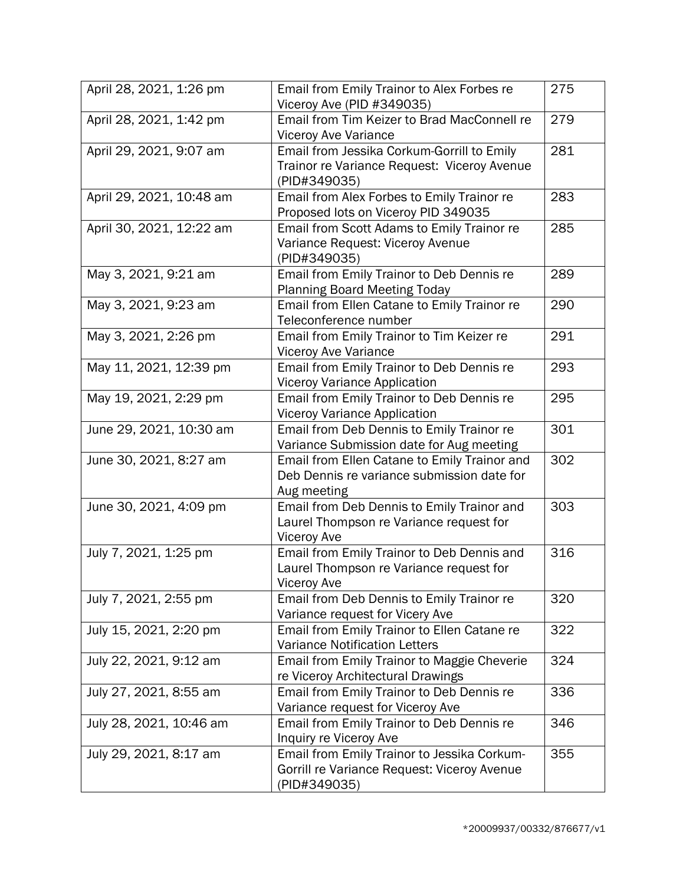| April 28, 2021, 1:26 pm  | Email from Emily Trainor to Alex Forbes re<br>Viceroy Ave (PID #349035)                                     | 275 |
|--------------------------|-------------------------------------------------------------------------------------------------------------|-----|
| April 28, 2021, 1:42 pm  | Email from Tim Keizer to Brad MacConnell re<br>Viceroy Ave Variance                                         | 279 |
| April 29, 2021, 9:07 am  | Email from Jessika Corkum-Gorrill to Emily<br>Trainor re Variance Request: Viceroy Avenue<br>(PID#349035)   | 281 |
| April 29, 2021, 10:48 am | Email from Alex Forbes to Emily Trainor re<br>Proposed lots on Viceroy PID 349035                           | 283 |
| April 30, 2021, 12:22 am | Email from Scott Adams to Emily Trainor re<br>Variance Request: Viceroy Avenue<br>(PID#349035)              | 285 |
| May 3, 2021, 9:21 am     | Email from Emily Trainor to Deb Dennis re<br><b>Planning Board Meeting Today</b>                            | 289 |
| May 3, 2021, 9:23 am     | Email from Ellen Catane to Emily Trainor re<br>Teleconference number                                        | 290 |
| May 3, 2021, 2:26 pm     | Email from Emily Trainor to Tim Keizer re<br>Viceroy Ave Variance                                           | 291 |
| May 11, 2021, 12:39 pm   | Email from Emily Trainor to Deb Dennis re<br><b>Viceroy Variance Application</b>                            | 293 |
| May 19, 2021, 2:29 pm    | Email from Emily Trainor to Deb Dennis re<br><b>Viceroy Variance Application</b>                            | 295 |
| June 29, 2021, 10:30 am  | Email from Deb Dennis to Emily Trainor re<br>Variance Submission date for Aug meeting                       | 301 |
| June 30, 2021, 8:27 am   | Email from Ellen Catane to Emily Trainor and<br>Deb Dennis re variance submission date for<br>Aug meeting   | 302 |
| June 30, 2021, 4:09 pm   | Email from Deb Dennis to Emily Trainor and<br>Laurel Thompson re Variance request for<br><b>Viceroy Ave</b> | 303 |
| July 7, 2021, 1:25 pm    | Email from Emily Trainor to Deb Dennis and<br>Laurel Thompson re Variance request for<br><b>Viceroy Ave</b> | 316 |
| July 7, 2021, 2:55 pm    | Email from Deb Dennis to Emily Trainor re<br>Variance request for Vicery Ave                                | 320 |
| July 15, 2021, 2:20 pm   | Email from Emily Trainor to Ellen Catane re<br><b>Variance Notification Letters</b>                         | 322 |
| July 22, 2021, 9:12 am   | Email from Emily Trainor to Maggie Cheverie<br>re Viceroy Architectural Drawings                            | 324 |
| July 27, 2021, 8:55 am   | Email from Emily Trainor to Deb Dennis re<br>Variance request for Viceroy Ave                               | 336 |
| July 28, 2021, 10:46 am  | Email from Emily Trainor to Deb Dennis re<br>Inquiry re Viceroy Ave                                         | 346 |
| July 29, 2021, 8:17 am   | Email from Emily Trainor to Jessika Corkum-<br>Gorrill re Variance Request: Viceroy Avenue<br>(PID#349035)  | 355 |